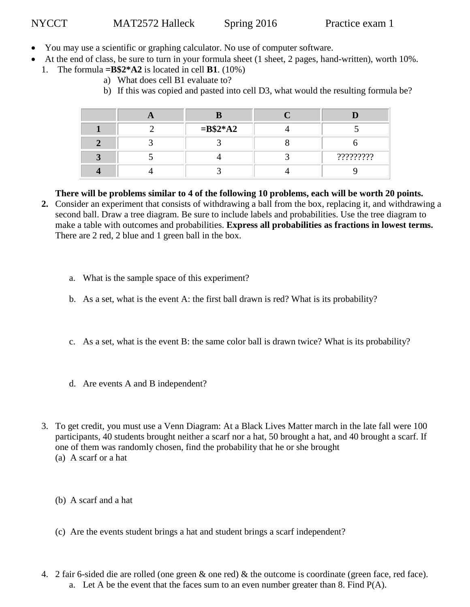- You may use a scientific or graphing calculator. No use of computer software.
- At the end of class, be sure to turn in your formula sheet (1 sheet, 2 pages, hand-written), worth 10%.
- 1. The formula  $=B$2*A2$  is located in cell **B1**. (10%)
	- a) What does cell B1 evaluate to?
	- b) If this was copied and pasted into cell D3, what would the resulting formula be?

|  | $=$ <b>B</b> \$2*A2 |           |
|--|---------------------|-----------|
|  |                     |           |
|  |                     | ????????? |
|  |                     |           |

**There will be problems similar to 4 of the following 10 problems, each will be worth 20 points.**

- **2.** Consider an experiment that consists of withdrawing a ball from the box, replacing it, and withdrawing a second ball. Draw a tree diagram. Be sure to include labels and probabilities. Use the tree diagram to make a table with outcomes and probabilities. **Express all probabilities as fractions in lowest terms.** There are 2 red, 2 blue and 1 green ball in the box.
	- a. What is the sample space of this experiment?
	- b. As a set, what is the event A: the first ball drawn is red? What is its probability?
	- c. As a set, what is the event B: the same color ball is drawn twice? What is its probability?
	- d. Are events A and B independent?
- 3. To get credit, you must use a Venn Diagram: At a Black Lives Matter march in the late fall were 100 participants, 40 students brought neither a scarf nor a hat, 50 brought a hat, and 40 brought a scarf. If one of them was randomly chosen, find the probability that he or she brought (a) A scarf or a hat
	- (b) A scarf and a hat
	- (c) Are the events student brings a hat and student brings a scarf independent?
- 4. 2 fair 6-sided die are rolled (one green & one red) & the outcome is coordinate (green face, red face). a. Let A be the event that the faces sum to an even number greater than 8. Find  $P(A)$ .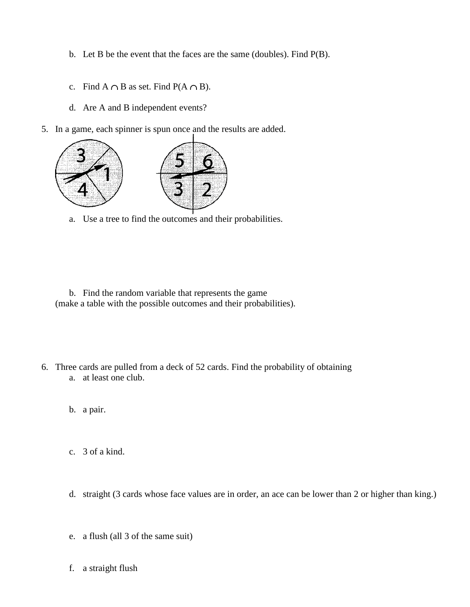- b. Let B be the event that the faces are the same (doubles). Find P(B).
- c. Find  $A \cap B$  as set. Find  $P(A \cap B)$ .
- d. Are A and B independent events?
- 5. In a game, each spinner is spun once and the results are added.



a. Use a tree to find the outcomes and their probabilities.

b. Find the random variable that represents the game (make a table with the possible outcomes and their probabilities).

- 6. Three cards are pulled from a deck of 52 cards. Find the probability of obtaining a. at least one club.
	- b. a pair.
	- c. 3 of a kind.
	- d. straight (3 cards whose face values are in order, an ace can be lower than 2 or higher than king.)
	- e. a flush (all 3 of the same suit)
	- f. a straight flush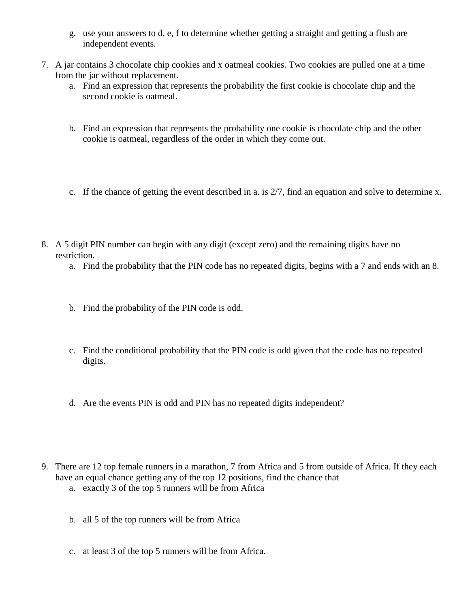- g. use your answers to d, e, f to determine whether getting a straight and getting a flush are independent events.
- 7. A jar contains 3 chocolate chip cookies and x oatmeal cookies. Two cookies are pulled one at a time from the jar without replacement.
	- a. Find an expression that represents the probability the first cookie is chocolate chip and the second cookie is oatmeal.
	- b. Find an expression that represents the probability one cookie is chocolate chip and the other cookie is oatmeal, regardless of the order in which they come out.
	- c. If the chance of getting the event described in a. is 2/7, find an equation and solve to determine x.
- 8. A 5 digit PIN number can begin with any digit (except zero) and the remaining digits have no restriction.
	- a. Find the probability that the PIN code has no repeated digits, begins with a 7 and ends with an 8.
	- b. Find the probability of the PIN code is odd.
	- c. Find the conditional probability that the PIN code is odd given that the code has no repeated digits.
	- d. Are the events PIN is odd and PIN has no repeated digits independent?
- 9. There are 12 top female runners in a marathon, 7 from Africa and 5 from outside of Africa. If they each have an equal chance getting any of the top 12 positions, find the chance that
	- a. exactly 3 of the top 5 runners will be from Africa
	- b. all 5 of the top runners will be from Africa
	- c. at least 3 of the top 5 runners will be from Africa.